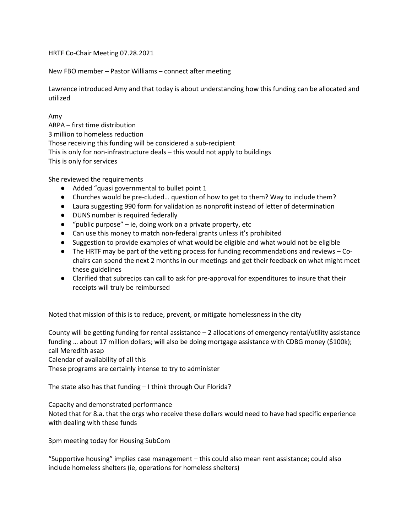HRTF Co-Chair Meeting 07.28.2021

New FBO member – Pastor Williams – connect after meeting

Lawrence introduced Amy and that today is about understanding how this funding can be allocated and utilized

Amy

ARPA – first time distribution 3 million to homeless reduction Those receiving this funding will be considered a sub-recipient This is only for non-infrastructure deals – this would not apply to buildings This is only for services

She reviewed the requirements

- Added "quasi governmental to bullet point 1
- Churches would be pre-cluded… question of how to get to them? Way to include them?
- Laura suggesting 990 form for validation as nonprofit instead of letter of determination
- DUNS number is required federally
- "public purpose" ie, doing work on a private property, etc
- Can use this money to match non-federal grants unless it's prohibited
- Suggestion to provide examples of what would be eligible and what would not be eligible
- The HRTF may be part of the vetting process for funding recommendations and reviews Cochairs can spend the next 2 months in our meetings and get their feedback on what might meet these guidelines
- Clarified that subrecips can call to ask for pre-approval for expenditures to insure that their receipts will truly be reimbursed

Noted that mission of this is to reduce, prevent, or mitigate homelessness in the city

County will be getting funding for rental assistance – 2 allocations of emergency rental/utility assistance funding … about 17 million dollars; will also be doing mortgage assistance with CDBG money (\$100k); call Meredith asap

Calendar of availability of all this

These programs are certainly intense to try to administer

The state also has that funding – I think through Our Florida?

Capacity and demonstrated performance

Noted that for 8.a. that the orgs who receive these dollars would need to have had specific experience with dealing with these funds

3pm meeting today for Housing SubCom

"Supportive housing" implies case management – this could also mean rent assistance; could also include homeless shelters (ie, operations for homeless shelters)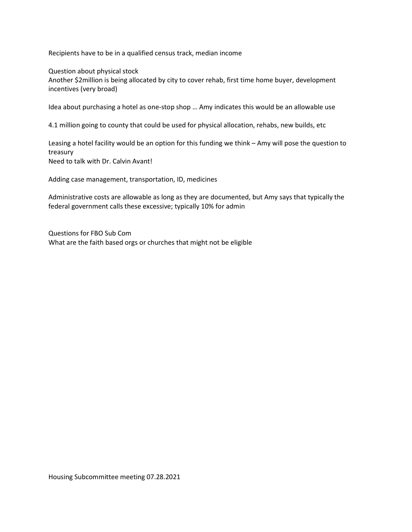Recipients have to be in a qualified census track, median income

Question about physical stock

Another \$2million is being allocated by city to cover rehab, first time home buyer, development incentives (very broad)

Idea about purchasing a hotel as one-stop shop … Amy indicates this would be an allowable use

4.1 million going to county that could be used for physical allocation, rehabs, new builds, etc

Leasing a hotel facility would be an option for this funding we think – Amy will pose the question to treasury Need to talk with Dr. Calvin Avant!

Adding case management, transportation, ID, medicines

Administrative costs are allowable as long as they are documented, but Amy says that typically the federal government calls these excessive; typically 10% for admin

Questions for FBO Sub Com What are the faith based orgs or churches that might not be eligible